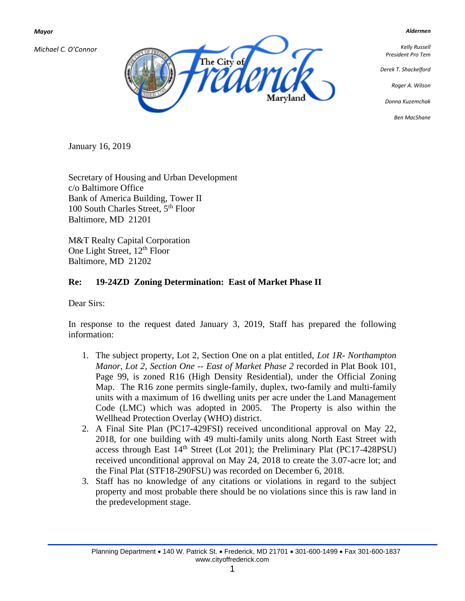*Mayor*

*Michael C. O'Connor*



*Aldermen*

*Kelly Russell President Pro Tem*

*Derek T. Shackelford*

*Roger A. Wilson*

*Donna Kuzemchak*

*Ben MacShane*

January 16, 2019

Secretary of Housing and Urban Development c/o Baltimore Office Bank of America Building, Tower II 100 South Charles Street, 5<sup>th</sup> Floor Baltimore, MD 21201

M&T Realty Capital Corporation One Light Street, 12<sup>th</sup> Floor Baltimore, MD 21202

## **Re: 19-24ZD Zoning Determination: East of Market Phase II**

Dear Sirs:

In response to the request dated January 3, 2019, Staff has prepared the following information:

- 1. The subject property, Lot 2, Section One on a plat entitled, *Lot 1R- Northampton Manor, Lot 2, Section One -- East of Market Phase 2* recorded in Plat Book 101, Page 99, is zoned R16 (High Density Residential), under the Official Zoning Map. The R16 zone permits single-family, duplex, two-family and multi-family units with a maximum of 16 dwelling units per acre under the Land Management Code (LMC) which was adopted in 2005. The Property is also within the Wellhead Protection Overlay (WHO) district.
- 2. A Final Site Plan (PC17-429FSI) received unconditional approval on May 22, 2018, for one building with 49 multi-family units along North East Street with access through East  $14<sup>th</sup>$  Street (Lot 201); the Preliminary Plat (PC17-428PSU) received unconditional approval on May 24, 2018 to create the 3.07-acre lot; and the Final Plat (STF18-290FSU) was recorded on December 6, 2018.
- 3. Staff has no knowledge of any citations or violations in regard to the subject property and most probable there should be no violations since this is raw land in the predevelopment stage.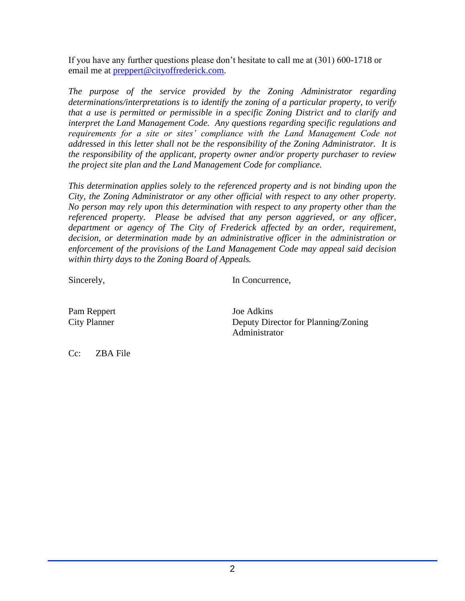If you have any further questions please don't hesitate to call me at (301) 600-1718 or email me at [preppert@cityoffrederick.com.](mailto:preppert@cityoffrederick.com)

*The purpose of the service provided by the Zoning Administrator regarding determinations/interpretations is to identify the zoning of a particular property, to verify that a use is permitted or permissible in a specific Zoning District and to clarify and interpret the Land Management Code. Any questions regarding specific regulations and requirements for a site or sites' compliance with the Land Management Code not addressed in this letter shall not be the responsibility of the Zoning Administrator. It is the responsibility of the applicant, property owner and/or property purchaser to review the project site plan and the Land Management Code for compliance.* 

*This determination applies solely to the referenced property and is not binding upon the City, the Zoning Administrator or any other official with respect to any other property. No person may rely upon this determination with respect to any property other than the referenced property. Please be advised that any person aggrieved, or any officer, department or agency of The City of Frederick affected by an order, requirement, decision, or determination made by an administrative officer in the administration or enforcement of the provisions of the Land Management Code may appeal said decision within thirty days to the Zoning Board of Appeals.*

Sincerely, In Concurrence,

Pam Reppert Joe Adkins

City Planner Deputy Director for Planning/Zoning Administrator

Cc: ZBA File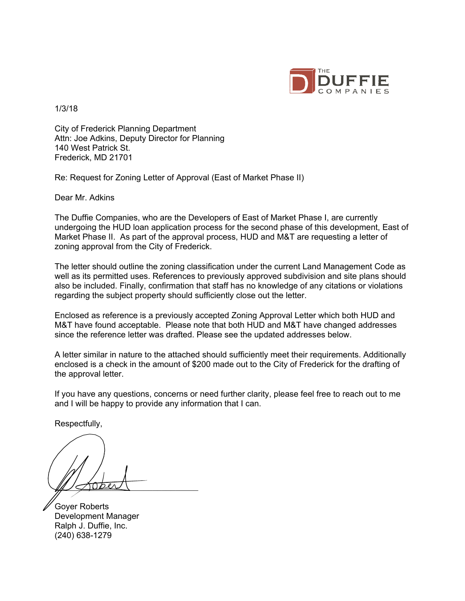

1/3/18

City of Frederick Planning Department Attn: Joe Adkins, Deputy Director for Planning 140 West Patrick St. Frederick, MD 21701

Re: Request for Zoning Letter of Approval (East of Market Phase II)

Dear Mr. Adkins

The Duffie Companies, who are the Developers of East of Market Phase I, are currently undergoing the HUD loan application process for the second phase of this development, East of Market Phase II. As part of the approval process, HUD and M&T are requesting a letter of zoning approval from the City of Frederick.

The letter should outline the zoning classification under the current Land Management Code as well as its permitted uses. References to previously approved subdivision and site plans should also be included. Finally, confirmation that staff has no knowledge of any citations or violations regarding the subject property should sufficiently close out the letter.

Enclosed as reference is a previously accepted Zoning Approval Letter which both HUD and M&T have found acceptable. Please note that both HUD and M&T have changed addresses since the reference letter was drafted. Please see the updated addresses below.

A letter similar in nature to the attached should sufficiently meet their requirements. Additionally enclosed is a check in the amount of \$200 made out to the City of Frederick for the drafting of the approval letter.

If you have any questions, concerns or need further clarity, please feel free to reach out to me and I will be happy to provide any information that I can.

Respectfully,

 $\mathbb{Z}\rightarrow\mathbb{Z}$ 

Goyer Roberts Development Manager Ralph J. Duffie, Inc. (240) 638-1279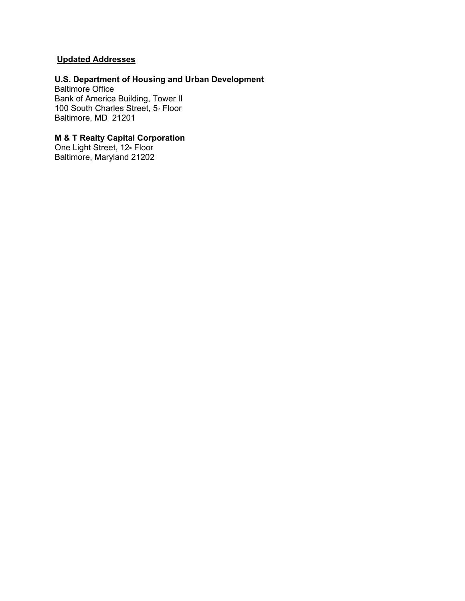## **Updated Addresses**

# **U.S. Department of Housing and Urban Development**

Baltimore Office Bank of America Building, Tower II 100 South Charles Street, 5<sup>th</sup> Floor Baltimore, MD 21201

### **M & T Realty Capital Corporation**

One Light Street, 12<sup>th</sup> Floor Baltimore, Maryland 21202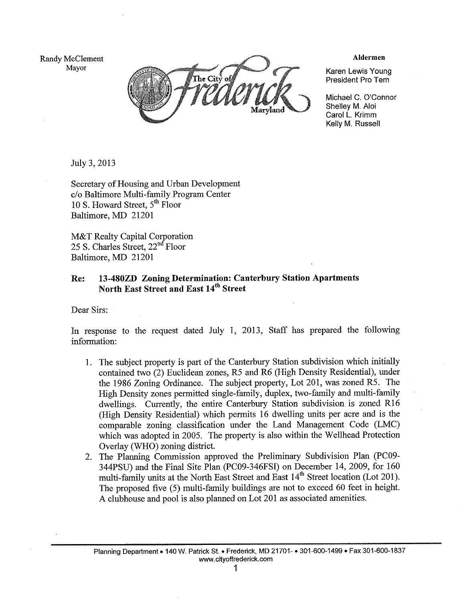Randy McClement Mayor



**Aldermen** 

Karen Lewis Young President Pro Tem

Michael C. O'Connor Shellev M. Aloi Carol L. Krimm Kelly M. Russell

July 3, 2013

Secretary of Housing and Urban Development c/o Baltimore Multi-family Program Center 10 S. Howard Street, 5<sup>th</sup> Floor Baltimore, MD 21201

M&T Realty Capital Corporation 25 S. Charles Street, 22<sup>nd</sup> Floor Baltimore, MD 21201

#### 13-480ZD Zoning Determination: Canterbury Station Apartments Re: North East Street and East 14<sup>th</sup> Street

Dear Sirs:

In response to the request dated July 1, 2013, Staff has prepared the following information:

- 1. The subject property is part of the Canterbury Station subdivision which initially contained two (2) Euclidean zones, R5 and R6 (High Density Residential), under the 1986 Zoning Ordinance. The subject property, Lot 201, was zoned R5. The High Density zones permitted single-family, duplex, two-family and multi-family dwellings. Currently, the entire Canterbury Station subdivision is zoned R16 (High Density Residential) which permits 16 dwelling units per acre and is the comparable zoning classification under the Land Management Code (LMC) which was adopted in 2005. The property is also within the Wellhead Protection Overlay (WHO) zoning district.
- The Planning Commission approved the Preliminary Subdivision Plan (PC09- $2.$ 344PSU) and the Final Site Plan (PC09-346FSI) on December 14, 2009, for 160 multi-family units at the North East Street and East 14<sup>th</sup> Street location (Lot 201). The proposed five (5) multi-family buildings are not to exceed 60 feet in height. A clubhouse and pool is also planned on Lot 201 as associated amenities.